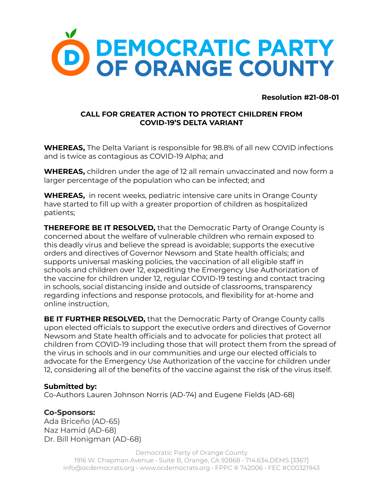

**Resolution #21-08-01**

## **CALL FOR GREATER ACTION TO PROTECT CHILDREN FROM COVID-19'S DELTA VARIANT**

**WHEREAS,** The Delta Variant is responsible for 98.8% of all new COVID infections and is twice as contagious as COVID-19 Alpha; and

**WHEREAS,** children under the age of 12 all remain unvaccinated and now form a larger percentage of the population who can be infected; and

**WHEREAS,** in recent weeks, pediatric intensive care units in Orange County have started to fill up with a greater proportion of children as hospitalized patients;

**THEREFORE BE IT RESOLVED,** that the Democratic Party of Orange County is concerned about the welfare of vulnerable children who remain exposed to this deadly virus and believe the spread is avoidable; supports the executive orders and directives of Governor Newsom and State health officials; and supports universal masking policies, the vaccination of all eligible staff in schools and children over 12, expediting the Emergency Use Authorization of the vaccine for children under 12, regular COVID-19 testing and contact tracing in schools, social distancing inside and outside of classrooms, transparency regarding infections and response protocols, and flexibility for at-home and online instruction,

**BE IT FURTHER RESOLVED,** that the Democratic Party of Orange County calls upon elected officials to support the executive orders and directives of Governor Newsom and State health officials and to advocate for policies that protect all children from COVID-19 including those that will protect them from the spread of the virus in schools and in our communities and urge our elected officials to advocate for the Emergency Use Authorization of the vaccine for children under 12, considering all of the benefits of the vaccine against the risk of the virus itself.

## **Submitted by:**

Co-Authors Lauren Johnson Norris (AD-74) and Eugene Fields (AD-68)

## **Co-Sponsors:**

Ada Briceño (AD-65) Naz Hamid (AD-68) Dr. Bill Honigman (AD-68)

> Democratic Party of Orange County 1916 W. Chapman Avenue • Suite B, Orange, CA 92868 • 714.634.DEMS [3367] info@ocdemocrats.org • www.ocdemocrats.org • FPPC # 742006 • FEC #C00321943